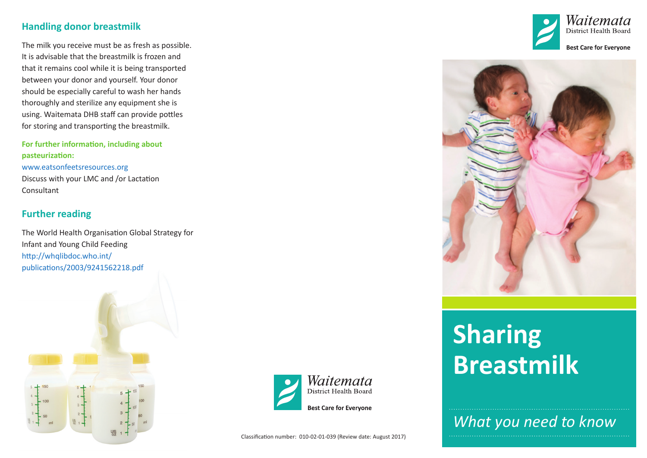#### **Handling donor breastmilk**

The milk you receive must be as fresh as possible. It is advisable that the breastmilk is frozen and that it remains cool while it is being transported between your donor and yourself. Your donor should be especially careful to wash her hands thoroughly and sterilize any equipment she is using. Waitemata DHB staff can provide pottles for storing and transporting the breastmilk.

**For further information, including about pasteurization:** www.eatsonfeetsresources.org Discuss with your LMC and /or Lactation Consultant

## **Further reading**

The World Health Organisation Global Strategy for Infant and Young Child Feeding http://whqlibdoc.who.int/ publications/2003/9241562218.pdf









# **Sharing Breastmilk**

*What you need to know*